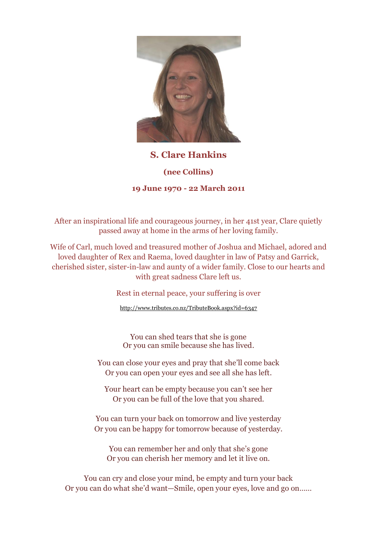

## **S. Clare Hankins (nee Collins) 19 June 1970 - 22 March 2011**

After an inspirational life and courageous journey, in her 41st year, Clare quietly passed away at home in the arms of her loving family.

Wife of Carl, much loved and treasured mother of Joshua and Michael, adored and loved daughter of Rex and Raema, loved daughter in law of Patsy and Garrick, cherished sister, sister-in-law and aunty of a wider family. Close to our hearts and with great sadness Clare left us.

Rest in eternal peace, your suffering is over

<http://www.tributes.co.nz/TributeBook.aspx?id=6347>

You can shed tears that she is gone Or you can smile because she has lived.

You can close your eyes and pray that she'll come back Or you can open your eyes and see all she has left.

Your heart can be empty because you can't see her Or you can be full of the love that you shared.

You can turn your back on tomorrow and live yesterday Or you can be happy for tomorrow because of yesterday.

You can remember her and only that she's gone Or you can cherish her memory and let it live on.

You can cry and close your mind, be empty and turn your back Or you can do what she'd want—Smile, open your eyes, love and go on……